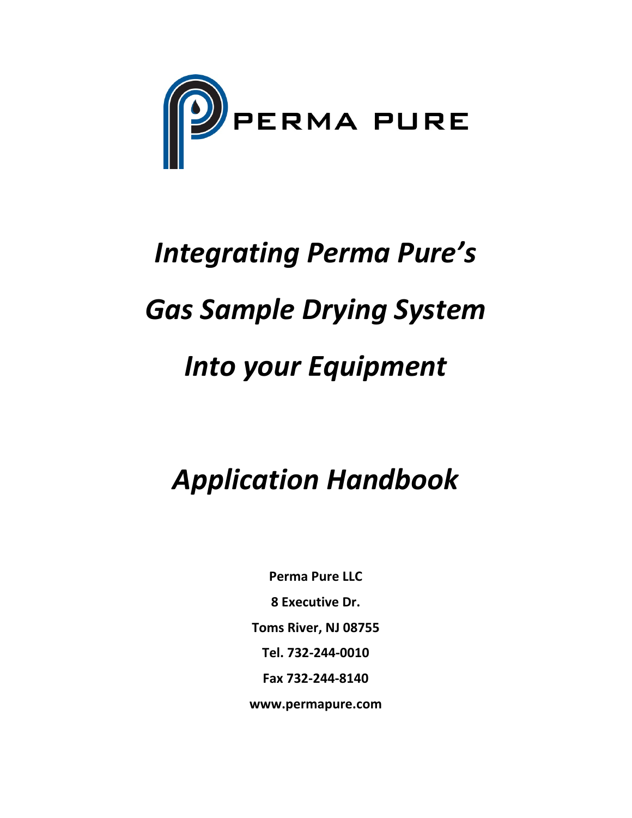

# *Integrating Perma Pure's Gas Sample Drying System Into your Equipment*

# *Application Handbook*

**Perma Pure LLC 8 Executive Dr. Toms River, NJ 08755 Tel. 732‐244‐0010 Fax 732‐244‐8140 www.permapure.com**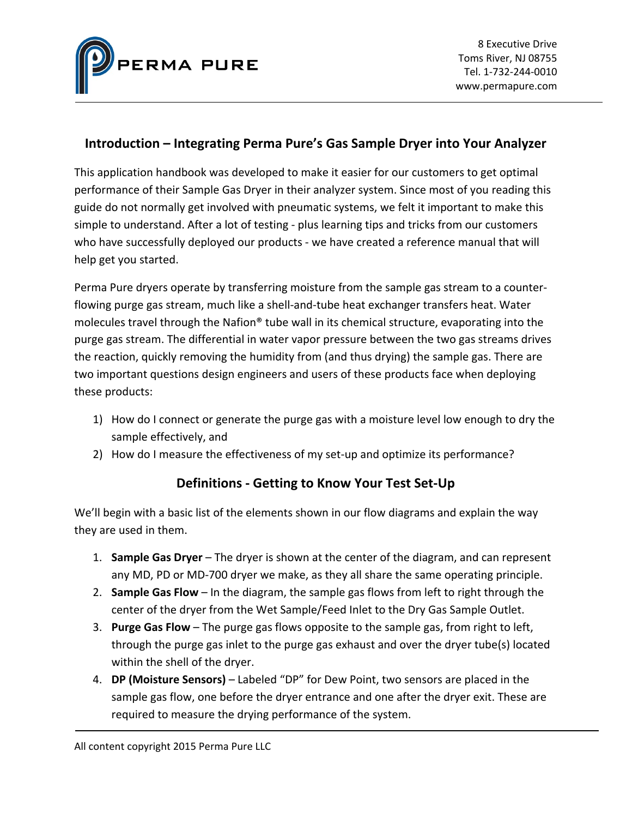

#### **Introduction – Integrating Perma Pure's Gas Sample Dryer into Your Analyzer**

This application handbook was developed to make it easier for our customers to get optimal performance of their Sample Gas Dryer in their analyzer system. Since most of you reading this guide do not normally get involved with pneumatic systems, we felt it important to make this simple to understand. After a lot of testing ‐ plus learning tips and tricks from our customers who have successfully deployed our products - we have created a reference manual that will help get you started.

Perma Pure dryers operate by transferring moisture from the sample gas stream to a counter‐ flowing purge gas stream, much like a shell‐and‐tube heat exchanger transfers heat. Water molecules travel through the Nafion® tube wall in its chemical structure, evaporating into the purge gas stream. The differential in water vapor pressure between the two gas streams drives the reaction, quickly removing the humidity from (and thus drying) the sample gas. There are two important questions design engineers and users of these products face when deploying these products:

- 1) How do I connect or generate the purge gas with a moisture level low enough to dry the sample effectively, and
- 2) How do I measure the effectiveness of my set-up and optimize its performance?

### **Definitions ‐ Getting to Know Your Test Set‐Up**

We'll begin with a basic list of the elements shown in our flow diagrams and explain the way they are used in them.

- 1. **Sample Gas Dryer** The dryer is shown at the center of the diagram, and can represent any MD, PD or MD‐700 dryer we make, as they all share the same operating principle.
- 2. **Sample Gas Flow** In the diagram, the sample gas flows from left to right through the center of the dryer from the Wet Sample/Feed Inlet to the Dry Gas Sample Outlet.
- 3. **Purge Gas Flow** The purge gas flows opposite to the sample gas, from right to left, through the purge gas inlet to the purge gas exhaust and over the dryer tube(s) located within the shell of the dryer.
- 4. **DP (Moisture Sensors)** Labeled "DP" for Dew Point, two sensors are placed in the sample gas flow, one before the dryer entrance and one after the dryer exit. These are required to measure the drying performance of the system.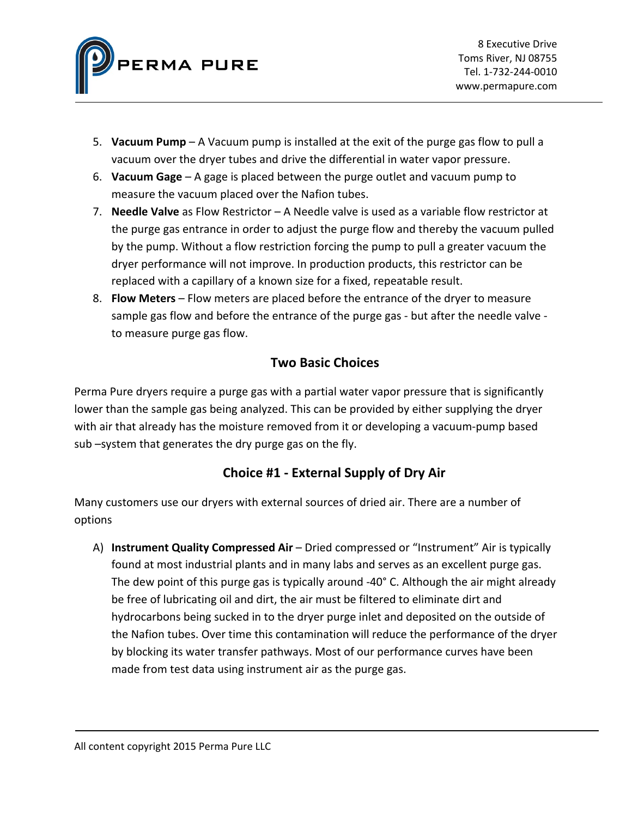

- 5. **Vacuum Pump** A Vacuum pump is installed at the exit of the purge gas flow to pull a vacuum over the dryer tubes and drive the differential in water vapor pressure.
- 6. **Vacuum Gage** A gage is placed between the purge outlet and vacuum pump to measure the vacuum placed over the Nafion tubes.
- 7. **Needle Valve** as Flow Restrictor A Needle valve is used as a variable flow restrictor at the purge gas entrance in order to adjust the purge flow and thereby the vacuum pulled by the pump. Without a flow restriction forcing the pump to pull a greater vacuum the dryer performance will not improve. In production products, this restrictor can be replaced with a capillary of a known size for a fixed, repeatable result.
- 8. **Flow Meters** Flow meters are placed before the entrance of the dryer to measure sample gas flow and before the entrance of the purge gas ‐ but after the needle valve ‐ to measure purge gas flow.

# **Two Basic Choices**

Perma Pure dryers require a purge gas with a partial water vapor pressure that is significantly lower than the sample gas being analyzed. This can be provided by either supplying the dryer with air that already has the moisture removed from it or developing a vacuum‐pump based sub –system that generates the dry purge gas on the fly.

# **Choice #1 ‐ External Supply of Dry Air**

Many customers use our dryers with external sources of dried air. There are a number of options

A) **Instrument Quality Compressed Air** – Dried compressed or "Instrument" Air is typically found at most industrial plants and in many labs and serves as an excellent purge gas. The dew point of this purge gas is typically around -40° C. Although the air might already be free of lubricating oil and dirt, the air must be filtered to eliminate dirt and hydrocarbons being sucked in to the dryer purge inlet and deposited on the outside of the Nafion tubes. Over time this contamination will reduce the performance of the dryer by blocking its water transfer pathways. Most of our performance curves have been made from test data using instrument air as the purge gas.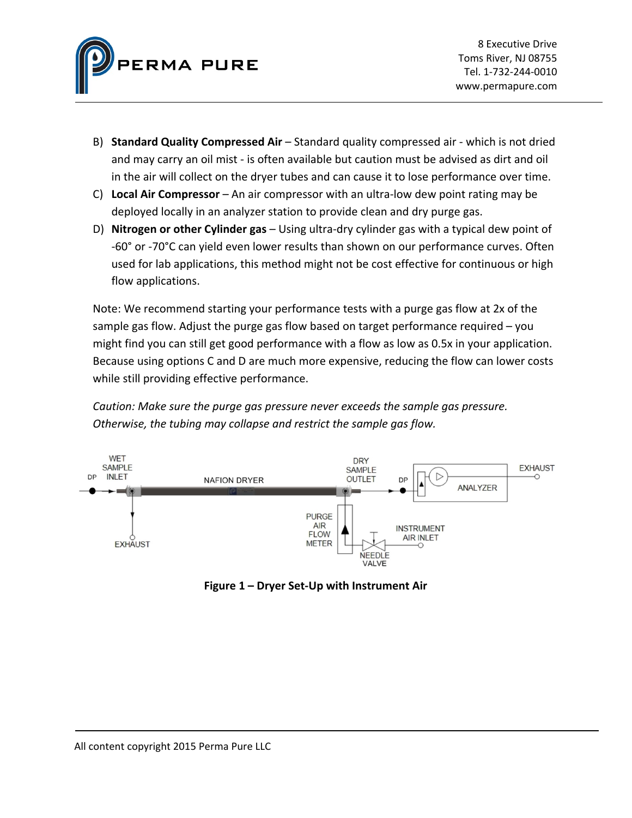

- B) **Standard Quality Compressed Air** Standard quality compressed air ‐ which is not dried and may carry an oil mist ‐ is often available but caution must be advised as dirt and oil in the air will collect on the dryer tubes and can cause it to lose performance over time.
- C) **Local Air Compressor** An air compressor with an ultra‐low dew point rating may be deployed locally in an analyzer station to provide clean and dry purge gas.
- D) **Nitrogen or other Cylinder gas** Using ultra‐dry cylinder gas with a typical dew point of ‐60° or ‐70°C can yield even lower results than shown on our performance curves. Often used for lab applications, this method might not be cost effective for continuous or high flow applications.

Note: We recommend starting your performance tests with a purge gas flow at 2x of the sample gas flow. Adjust the purge gas flow based on target performance required – you might find you can still get good performance with a flow as low as 0.5x in your application. Because using options C and D are much more expensive, reducing the flow can lower costs while still providing effective performance.

*Caution: Make sure the purge gas pressure never exceeds the sample gas pressure. Otherwise, the tubing may collapse and restrict the sample gas flow.*



**Figure 1 – Dryer Set‐Up with Instrument Air**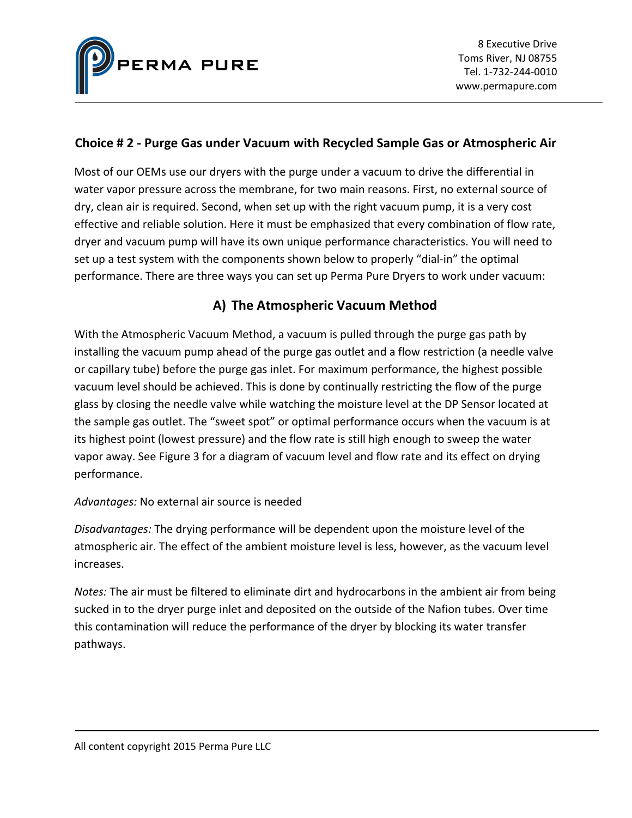

#### **Choice # 2 ‐ Purge Gas under Vacuum with Recycled Sample Gas or Atmospheric Air**

Most of our OEMs use our dryers with the purge under a vacuum to drive the differential in water vapor pressure across the membrane, for two main reasons. First, no external source of dry, clean air is required. Second, when set up with the right vacuum pump, it is a very cost effective and reliable solution. Here it must be emphasized that every combination of flow rate, dryer and vacuum pump will have its own unique performance characteristics. You will need to set up a test system with the components shown below to properly "dial-in" the optimal performance. There are three ways you can set up Perma Pure Dryers to work under vacuum:

# **A) The Atmospheric Vacuum Method**

With the Atmospheric Vacuum Method, a vacuum is pulled through the purge gas path by installing the vacuum pump ahead of the purge gas outlet and a flow restriction (a needle valve or capillary tube) before the purge gas inlet. For maximum performance, the highest possible vacuum level should be achieved. This is done by continually restricting the flow of the purge glass by closing the needle valve while watching the moisture level at the DP Sensor located at the sample gas outlet. The "sweet spot" or optimal performance occurs when the vacuum is at its highest point (lowest pressure) and the flow rate is still high enough to sweep the water vapor away. See Figure 3 for a diagram of vacuum level and flow rate and its effect on drying performance.

#### *Advantages:* No external air source is needed

*Disadvantages:* The drying performance will be dependent upon the moisture level of the atmospheric air. The effect of the ambient moisture level is less, however, as the vacuum level increases.

*Notes:* The air must be filtered to eliminate dirt and hydrocarbons in the ambient air from being sucked in to the dryer purge inlet and deposited on the outside of the Nafion tubes. Over time this contamination will reduce the performance of the dryer by blocking its water transfer pathways.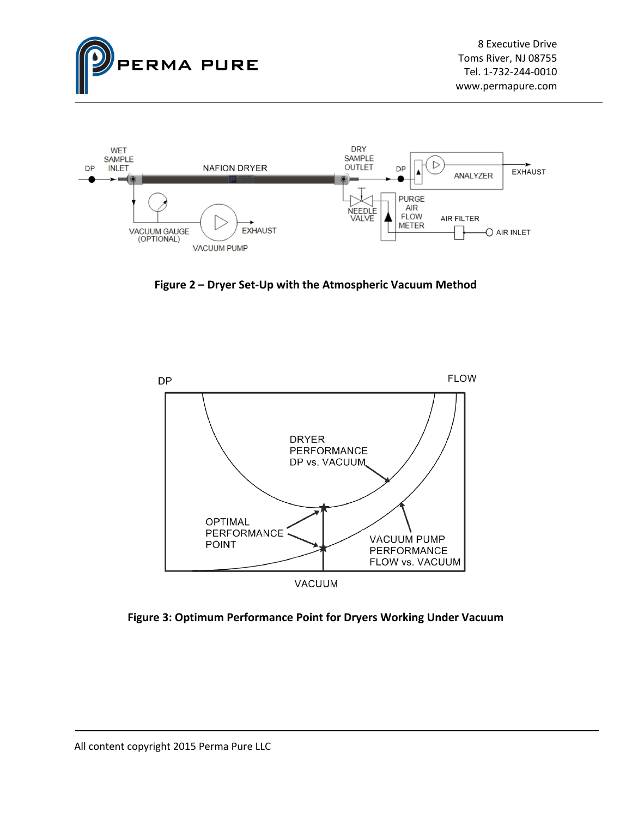



**Figure 2 – Dryer Set‐Up with the Atmospheric Vacuum Method**



**Figure 3: Optimum Performance Point for Dryers Working Under Vacuum**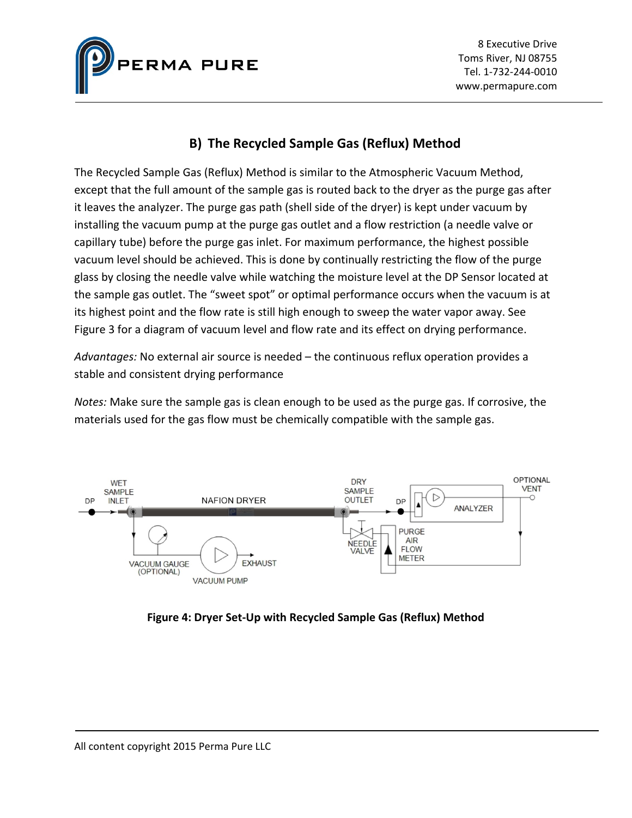

## **B) The Recycled Sample Gas (Reflux) Method**

The Recycled Sample Gas (Reflux) Method is similar to the Atmospheric Vacuum Method, except that the full amount of the sample gas is routed back to the dryer as the purge gas after it leaves the analyzer. The purge gas path (shell side of the dryer) is kept under vacuum by installing the vacuum pump at the purge gas outlet and a flow restriction (a needle valve or capillary tube) before the purge gas inlet. For maximum performance, the highest possible vacuum level should be achieved. This is done by continually restricting the flow of the purge glass by closing the needle valve while watching the moisture level at the DP Sensor located at the sample gas outlet. The "sweet spot" or optimal performance occurs when the vacuum is at its highest point and the flow rate is still high enough to sweep the water vapor away. See Figure 3 for a diagram of vacuum level and flow rate and its effect on drying performance.

*Advantages:* No external air source is needed – the continuous reflux operation provides a stable and consistent drying performance

*Notes:* Make sure the sample gas is clean enough to be used as the purge gas. If corrosive, the materials used for the gas flow must be chemically compatible with the sample gas.



**Figure 4: Dryer Set‐Up with Recycled Sample Gas (Reflux) Method**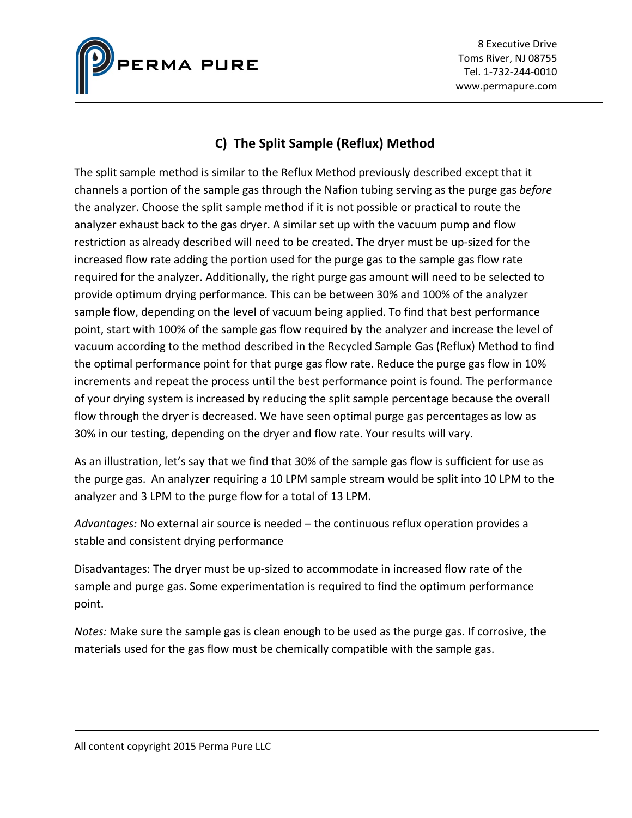

8 Executive Drive Toms River, NJ 08755 Tel. 1‐732‐244‐0010 www.permapure.com

# **C) The Split Sample (Reflux) Method**

The split sample method is similar to the Reflux Method previously described except that it channels a portion of the sample gas through the Nafion tubing serving as the purge gas *before* the analyzer. Choose the split sample method if it is not possible or practical to route the analyzer exhaust back to the gas dryer. A similar set up with the vacuum pump and flow restriction as already described will need to be created. The dryer must be up‐sized for the increased flow rate adding the portion used for the purge gas to the sample gas flow rate required for the analyzer. Additionally, the right purge gas amount will need to be selected to provide optimum drying performance. This can be between 30% and 100% of the analyzer sample flow, depending on the level of vacuum being applied. To find that best performance point, start with 100% of the sample gas flow required by the analyzer and increase the level of vacuum according to the method described in the Recycled Sample Gas (Reflux) Method to find the optimal performance point for that purge gas flow rate. Reduce the purge gas flow in 10% increments and repeat the process until the best performance point is found. The performance of your drying system is increased by reducing the split sample percentage because the overall flow through the dryer is decreased. We have seen optimal purge gas percentages as low as 30% in our testing, depending on the dryer and flow rate. Your results will vary.

As an illustration, let's say that we find that 30% of the sample gas flow is sufficient for use as the purge gas. An analyzer requiring a 10 LPM sample stream would be split into 10 LPM to the analyzer and 3 LPM to the purge flow for a total of 13 LPM.

*Advantages:* No external air source is needed – the continuous reflux operation provides a stable and consistent drying performance

Disadvantages: The dryer must be up‐sized to accommodate in increased flow rate of the sample and purge gas. Some experimentation is required to find the optimum performance point.

*Notes:* Make sure the sample gas is clean enough to be used as the purge gas. If corrosive, the materials used for the gas flow must be chemically compatible with the sample gas.